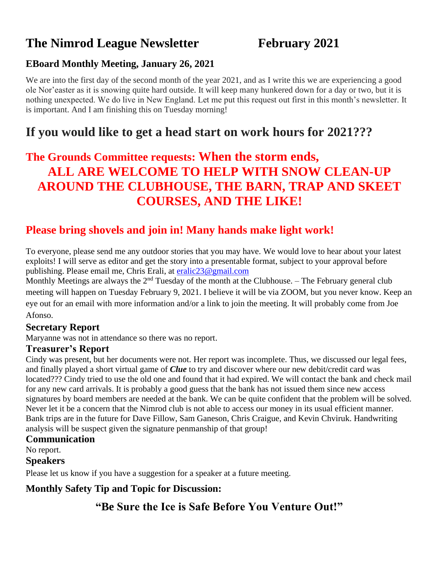# **The Nimrod League Newsletter February 2021**

#### **EBoard Monthly Meeting, January 26, 2021**

We are into the first day of the second month of the year 2021, and as I write this we are experiencing a good ole Nor'easter as it is snowing quite hard outside. It will keep many hunkered down for a day or two, but it is nothing unexpected. We do live in New England. Let me put this request out first in this month's newsletter. It is important. And I am finishing this on Tuesday morning!

# **If you would like to get a head start on work hours for 2021???**

# **The Grounds Committee requests: When the storm ends, ALL ARE WELCOME TO HELP WITH SNOW CLEAN-UP AROUND THE CLUBHOUSE, THE BARN, TRAP AND SKEET COURSES, AND THE LIKE!**

## **Please bring shovels and join in! Many hands make light work!**

To everyone, please send me any outdoor stories that you may have. We would love to hear about your latest exploits! I will serve as editor and get the story into a presentable format, subject to your approval before publishing. Please email me, Chris Erali, at [eralic23@gmail.com](mailto:eralic23@gmail.com)

Monthly Meetings are always the  $2<sup>nd</sup>$  Tuesday of the month at the Clubhouse. – The February general club meeting will happen on Tuesday February 9, 2021. I believe it will be via ZOOM, but you never know. Keep an eye out for an email with more information and/or a link to join the meeting. It will probably come from Joe Afonso.

#### **Secretary Report**

Maryanne was not in attendance so there was no report.

#### **Treasurer's Report**

Cindy was present, but her documents were not. Her report was incomplete. Thus, we discussed our legal fees, and finally played a short virtual game of *Clue* to try and discover where our new debit/credit card was located??? Cindy tried to use the old one and found that it had expired. We will contact the bank and check mail for any new card arrivals. It is probably a good guess that the bank has not issued them since new access signatures by board members are needed at the bank. We can be quite confident that the problem will be solved. Never let it be a concern that the Nimrod club is not able to access our money in its usual efficient manner. Bank trips are in the future for Dave Fillow, Sam Ganeson, Chris Craigue, and Kevin Chviruk. Handwriting analysis will be suspect given the signature penmanship of that group!

#### **Communication**

No report.

#### **Speakers**

Please let us know if you have a suggestion for a speaker at a future meeting.

#### **Monthly Safety Tip and Topic for Discussion:**

## **"Be Sure the Ice is Safe Before You Venture Out!"**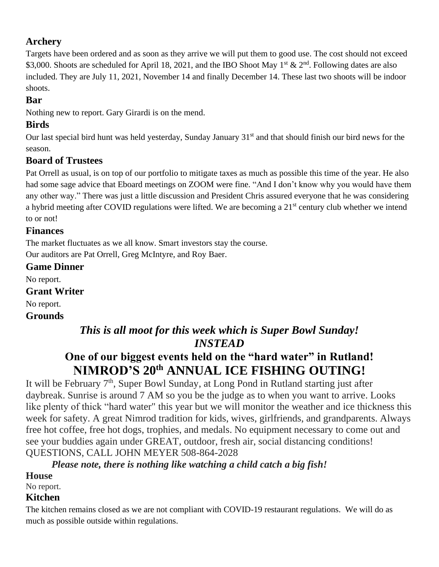## **Archery**

Targets have been ordered and as soon as they arrive we will put them to good use. The cost should not exceed \$3,000. Shoots are scheduled for April 18, 2021, and the IBO Shoot May 1<sup>st</sup> & 2<sup>nd</sup>. Following dates are also included. They are July 11, 2021, November 14 and finally December 14. These last two shoots will be indoor shoots.

#### **Bar**

Nothing new to report. Gary Girardi is on the mend.

#### **Birds**

Our last special bird hunt was held yesterday, Sunday January 31<sup>st</sup> and that should finish our bird news for the season.

## **Board of Trustees**

Pat Orrell as usual, is on top of our portfolio to mitigate taxes as much as possible this time of the year. He also had some sage advice that Eboard meetings on ZOOM were fine. "And I don't know why you would have them any other way." There was just a little discussion and President Chris assured everyone that he was considering a hybrid meeting after COVID regulations were lifted. We are becoming a 21<sup>st</sup> century club whether we intend to or not!

#### **Finances**

The market fluctuates as we all know. Smart investors stay the course. Our auditors are Pat Orrell, Greg McIntyre, and Roy Baer.

#### **Game Dinner**

No report.

**Grant Writer**

No report.

#### **Grounds**

## *This is all moot for this week which is Super Bowl Sunday! INSTEAD*

# **One of our biggest events held on the "hard water" in Rutland! NIMROD'S 20th ANNUAL ICE FISHING OUTING!**

It will be February 7<sup>th</sup>, Super Bowl Sunday, at Long Pond in Rutland starting just after daybreak. Sunrise is around 7 AM so you be the judge as to when you want to arrive. Looks like plenty of thick "hard water" this year but we will monitor the weather and ice thickness this week for safety. A great Nimrod tradition for kids, wives, girlfriends, and grandparents. Always free hot coffee, free hot dogs, trophies, and medals. No equipment necessary to come out and see your buddies again under GREAT, outdoor, fresh air, social distancing conditions! QUESTIONS, CALL JOHN MEYER 508-864-2028

## *Please note, there is nothing like watching a child catch a big fish!*

#### **House**

No report.

#### **Kitchen**

The kitchen remains closed as we are not compliant with COVID-19 restaurant regulations. We will do as much as possible outside within regulations.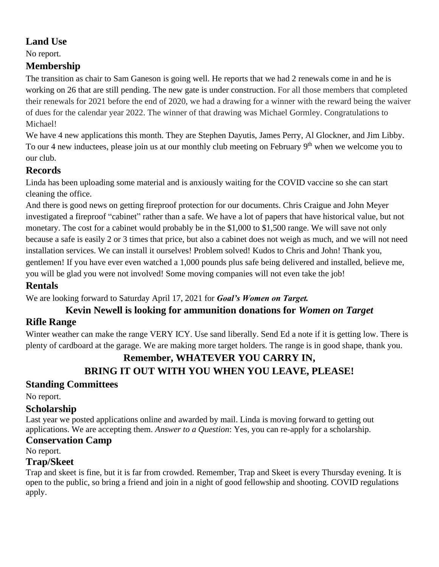#### **Land Use**

No report.

## **Membership**

The transition as chair to Sam Ganeson is going well. He reports that we had 2 renewals come in and he is working on 26 that are still pending. The new gate is under construction. For all those members that completed their renewals for 2021 before the end of 2020, we had a drawing for a winner with the reward being the waiver of dues for the calendar year 2022. The winner of that drawing was Michael Gormley. Congratulations to Michael!

We have 4 new applications this month. They are Stephen Dayutis, James Perry, Al Glockner, and Jim Libby. To our 4 new inductees, please join us at our monthly club meeting on February 9<sup>th</sup> when we welcome you to our club.

## **Records**

Linda has been uploading some material and is anxiously waiting for the COVID vaccine so she can start cleaning the office.

And there is good news on getting fireproof protection for our documents. Chris Craigue and John Meyer investigated a fireproof "cabinet" rather than a safe. We have a lot of papers that have historical value, but not monetary. The cost for a cabinet would probably be in the \$1,000 to \$1,500 range. We will save not only because a safe is easily 2 or 3 times that price, but also a cabinet does not weigh as much, and we will not need installation services. We can install it ourselves! Problem solved! Kudos to Chris and John! Thank you, gentlemen! If you have ever even watched a 1,000 pounds plus safe being delivered and installed, believe me, you will be glad you were not involved! Some moving companies will not even take the job!

#### **Rentals**

We are looking forward to Saturday April 17, 2021 for *Goal's Women on Target.*

## **Kevin Newell is looking for ammunition donations for** *Women on Target*

## **Rifle Range**

Winter weather can make the range VERY ICY. Use sand liberally. Send Ed a note if it is getting low. There is plenty of cardboard at the garage. We are making more target holders. The range is in good shape, thank you.

#### **Remember, WHATEVER YOU CARRY IN, BRING IT OUT WITH YOU WHEN YOU LEAVE, PLEASE!**

## **Standing Committees**

No report.

## **Scholarship**

Last year we posted applications online and awarded by mail. Linda is moving forward to getting out applications. We are accepting them. *Answer to a Question*: Yes, you can re-apply for a scholarship.

#### **Conservation Camp**

No report.

## **Trap/Skeet**

Trap and skeet is fine, but it is far from crowded. Remember, Trap and Skeet is every Thursday evening. It is open to the public, so bring a friend and join in a night of good fellowship and shooting. COVID regulations apply.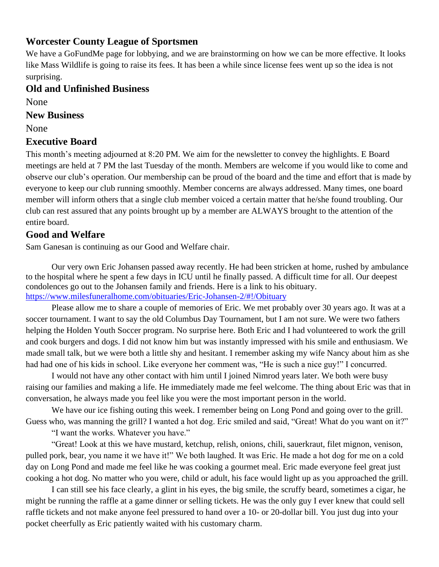#### **Worcester County League of Sportsmen**

We have a GoFundMe page for lobbying, and we are brainstorming on how we can be more effective. It looks like Mass Wildlife is going to raise its fees. It has been a while since license fees went up so the idea is not surprising.

#### **Old and Unfinished Business**

None

#### **New Business**

None

#### **Executive Board**

This month's meeting adjourned at 8:20 PM. We aim for the newsletter to convey the highlights. E Board meetings are held at 7 PM the last Tuesday of the month. Members are welcome if you would like to come and observe our club's operation. Our membership can be proud of the board and the time and effort that is made by everyone to keep our club running smoothly. Member concerns are always addressed. Many times, one board member will inform others that a single club member voiced a certain matter that he/she found troubling. Our club can rest assured that any points brought up by a member are ALWAYS brought to the attention of the entire board.

#### **Good and Welfare**

Sam Ganesan is continuing as our Good and Welfare chair.

Our very own Eric Johansen passed away recently. He had been stricken at home, rushed by ambulance to the hospital where he spent a few days in ICU until he finally passed. A difficult time for all. Our deepest condolences go out to the Johansen family and friends. Here is a link to his obituary. <https://www.milesfuneralhome.com/obituaries/Eric-Johansen-2/#!/Obituary>

Please allow me to share a couple of memories of Eric. We met probably over 30 years ago. It was at a soccer tournament. I want to say the old Columbus Day Tournament, but I am not sure. We were two fathers helping the Holden Youth Soccer program. No surprise here. Both Eric and I had volunteered to work the grill and cook burgers and dogs. I did not know him but was instantly impressed with his smile and enthusiasm. We made small talk, but we were both a little shy and hesitant. I remember asking my wife Nancy about him as she had had one of his kids in school. Like everyone her comment was, "He is such a nice guy!" I concurred.

I would not have any other contact with him until I joined Nimrod years later. We both were busy raising our families and making a life. He immediately made me feel welcome. The thing about Eric was that in conversation, he always made you feel like you were the most important person in the world.

We have our ice fishing outing this week. I remember being on Long Pond and going over to the grill. Guess who, was manning the grill? I wanted a hot dog. Eric smiled and said, "Great! What do you want on it?"

"I want the works. Whatever you have."

"Great! Look at this we have mustard, ketchup, relish, onions, chili, sauerkraut, filet mignon, venison, pulled pork, bear, you name it we have it!" We both laughed. It was Eric. He made a hot dog for me on a cold day on Long Pond and made me feel like he was cooking a gourmet meal. Eric made everyone feel great just cooking a hot dog. No matter who you were, child or adult, his face would light up as you approached the grill.

I can still see his face clearly, a glint in his eyes, the big smile, the scruffy beard, sometimes a cigar, he might be running the raffle at a game dinner or selling tickets. He was the only guy I ever knew that could sell raffle tickets and not make anyone feel pressured to hand over a 10- or 20-dollar bill. You just dug into your pocket cheerfully as Eric patiently waited with his customary charm.